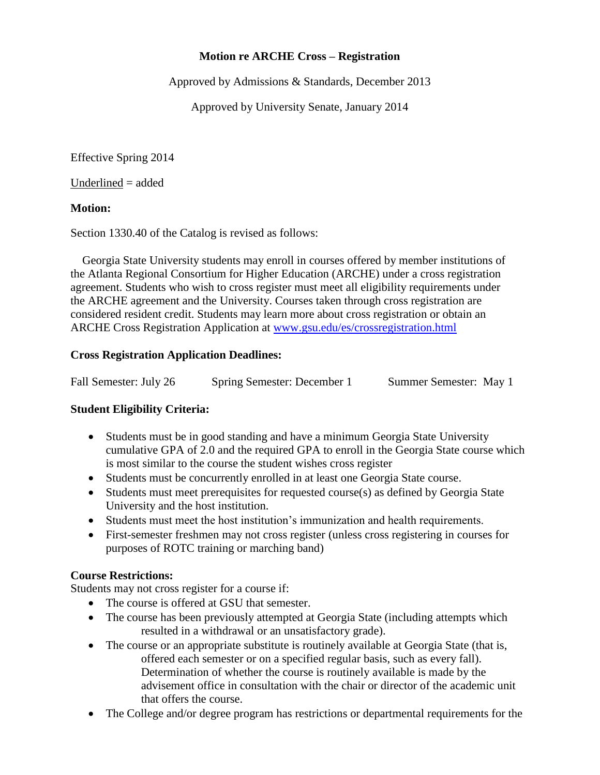# **Motion re ARCHE Cross – Registration**

Approved by Admissions & Standards, December 2013

Approved by University Senate, January 2014

Effective Spring 2014

Underlined = added

#### **Motion:**

Section 1330.40 of the Catalog is revised as follows:

 Georgia State University students may enroll in courses offered by member institutions of the Atlanta Regional Consortium for Higher Education (ARCHE) under a cross registration agreement. Students who wish to cross register must meet all eligibility requirements under the ARCHE agreement and the University. Courses taken through cross registration are considered resident credit. Students may learn more about cross registration or obtain an ARCHE Cross Registration Application at [www.gsu.edu/es/crossregistration.html](http://www.gsu.edu/es/crossregistration.html)

# **Cross Registration Application Deadlines:**

| Fall Semester: July 26 | Spring Semester: December 1 | Summer Semester: May 1 |
|------------------------|-----------------------------|------------------------|
|------------------------|-----------------------------|------------------------|

# **Student Eligibility Criteria:**

- Students must be in good standing and have a minimum Georgia State University cumulative GPA of 2.0 and the required GPA to enroll in the Georgia State course which is most similar to the course the student wishes cross register
- Students must be concurrently enrolled in at least one Georgia State course.
- Students must meet prerequisites for requested course(s) as defined by Georgia State University and the host institution.
- Students must meet the host institution's immunization and health requirements.
- First-semester freshmen may not cross register (unless cross registering in courses for purposes of ROTC training or marching band)

#### **Course Restrictions:**

Students may not cross register for a course if:

- The course is offered at GSU that semester.
- The course has been previously attempted at Georgia State (including attempts which resulted in a withdrawal or an unsatisfactory grade).
- The course or an appropriate substitute is routinely available at Georgia State (that is, offered each semester or on a specified regular basis, such as every fall). Determination of whether the course is routinely available is made by the advisement office in consultation with the chair or director of the academic unit that offers the course.
- The College and/or degree program has restrictions or departmental requirements for the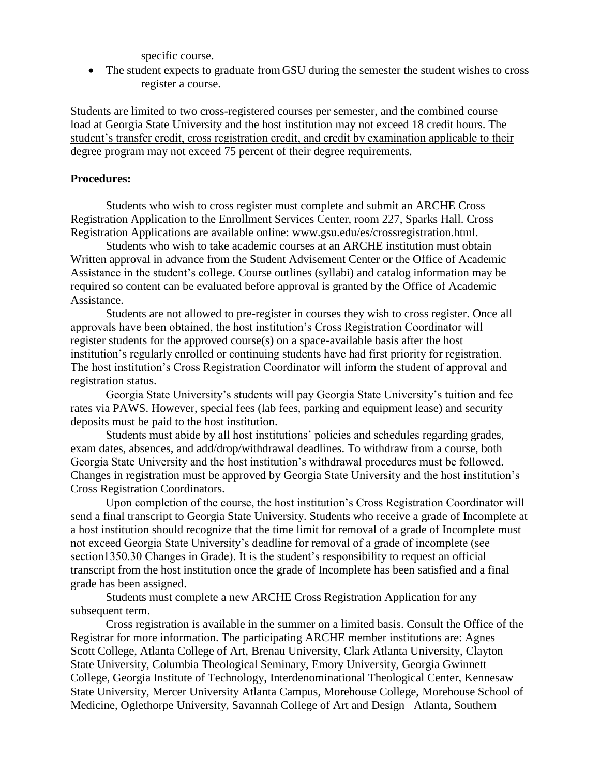specific course.

 The student expects to graduate fromGSU during the semester the student wishes to cross register a course.

Students are limited to two cross-registered courses per semester, and the combined course load at Georgia State University and the host institution may not exceed 18 credit hours. The student's transfer credit, cross registration credit, and credit by examination applicable to their degree program may not exceed 75 percent of their degree requirements.

#### **Procedures:**

Students who wish to cross register must complete and submit an ARCHE Cross Registration Application to the Enrollment Services Center, room 227, Sparks Hall. Cross Registration Applications are available online: www.gsu.edu/es/crossregistration.html.

Students who wish to take academic courses at an ARCHE institution must obtain Written approval in advance from the Student Advisement Center or the Office of Academic Assistance in the student's college. Course outlines (syllabi) and catalog information may be required so content can be evaluated before approval is granted by the Office of Academic Assistance.

Students are not allowed to pre-register in courses they wish to cross register. Once all approvals have been obtained, the host institution's Cross Registration Coordinator will register students for the approved course(s) on a space-available basis after the host institution's regularly enrolled or continuing students have had first priority for registration. The host institution's Cross Registration Coordinator will inform the student of approval and registration status.

Georgia State University's students will pay Georgia State University's tuition and fee rates via PAWS. However, special fees (lab fees, parking and equipment lease) and security deposits must be paid to the host institution.

Students must abide by all host institutions' policies and schedules regarding grades, exam dates, absences, and add/drop/withdrawal deadlines. To withdraw from a course, both Georgia State University and the host institution's withdrawal procedures must be followed. Changes in registration must be approved by Georgia State University and the host institution's Cross Registration Coordinators.

Upon completion of the course, the host institution's Cross Registration Coordinator will send a final transcript to Georgia State University. Students who receive a grade of Incomplete at a host institution should recognize that the time limit for removal of a grade of Incomplete must not exceed Georgia State University's deadline for removal of a grade of incomplete (see section1350.30 Changes in Grade). It is the student's responsibility to request an official transcript from the host institution once the grade of Incomplete has been satisfied and a final grade has been assigned.

Students must complete a new ARCHE Cross Registration Application for any subsequent term.

Cross registration is available in the summer on a limited basis. Consult the Office of the Registrar for more information. The participating ARCHE member institutions are: Agnes Scott College, Atlanta College of Art, Brenau University, Clark Atlanta University, Clayton State University, Columbia Theological Seminary, Emory University, Georgia Gwinnett College, Georgia Institute of Technology, Interdenominational Theological Center, Kennesaw State University, Mercer University Atlanta Campus, Morehouse College, Morehouse School of Medicine, Oglethorpe University, Savannah College of Art and Design –Atlanta, Southern